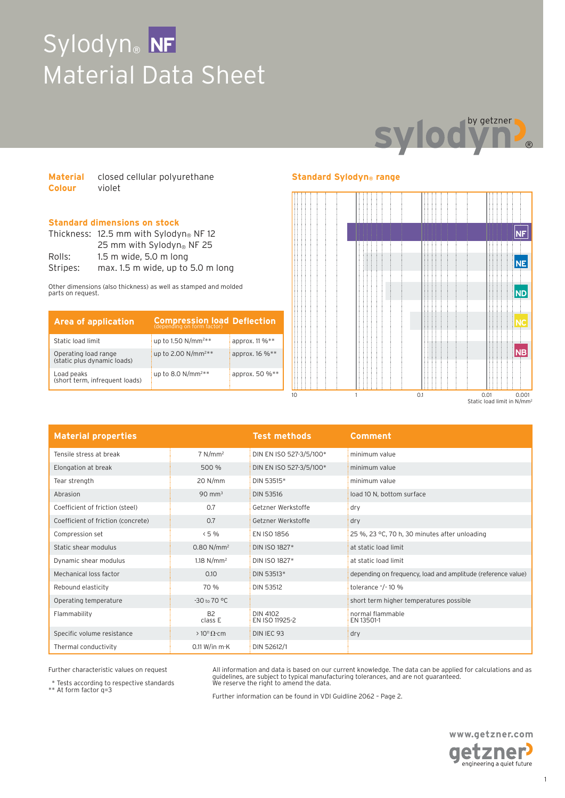# Sylodyn® **NF** Material Data Sheet



| <b>Material</b> | closed cellular polyurethane |
|-----------------|------------------------------|
| <b>Colour</b>   | violet                       |

### **Standard dimensions on stock**

|          | Thickness: $12.5$ mm with Sylodyn® NF 12 |  |  |
|----------|------------------------------------------|--|--|
|          | 25 mm with Sylodyn <sup>®</sup> NF 25    |  |  |
| Rolls:   | $1.5$ m wide, $5.0$ m long               |  |  |
| Stripes: | max. 1.5 m wide, up to 5.0 m long        |  |  |

Other dimensions (also thickness) as well as stamped and molded parts on request.

| <b>Area of application</b>                          | <b>Compression load Deflection</b> |                |
|-----------------------------------------------------|------------------------------------|----------------|
| Static load limit                                   | up to 1.50 $N/mm^{2**}$            | approx. 11 %** |
| Operating load range<br>(static plus dynamic loads) | up to 2.00 N/mm <sup>2**</sup>     | арргох. 16 %** |
| Load peaks<br>(short term, infrequent loads)        | up to 8.0 $N/mm^{2**}$             | approx. 50 %** |

## **Standard Sylodyn® range**



| <b>Material properties</b>         |                           | <b>Test methods</b>        | <b>Comment</b>                                               |
|------------------------------------|---------------------------|----------------------------|--------------------------------------------------------------|
| Tensile stress at break            | $7$ N/mm <sup>2</sup>     | DIN EN ISO 527-3/5/100*    | minimum value                                                |
| Elongation at break                | 500 %                     | DIN EN ISO 527-3/5/100*    | minimum value                                                |
| Tear strength                      | 20 N/mm                   | DIN 53515*                 | minimum value                                                |
| Abrasion                           | $90 \text{ mm}^3$         | <b>DIN 53516</b>           | load 10 N, bottom surface                                    |
| Coefficient of friction (steel)    | 0.7                       | Getzner Werkstoffe         | dry                                                          |
| Coefficient of friction (concrete) | 0.7                       | Getzner Werkstoffe         | dry                                                          |
| Compression set                    | < 5%                      | EN ISO 1856                | 25 %, 23 °C, 70 h, 30 minutes after unloading                |
| Static shear modulus               | $0.80 N/mm^2$             | DIN ISO 1827*              | at static load limit                                         |
| Dynamic shear modulus              | 1.18 $N/mm^2$             | DIN ISO 1827*              | at static load limit                                         |
| Mechanical loss factor             | 0.10                      | DIN 53513*                 | depending on frequency, load and amplitude (reference value) |
| Rebound elasticity                 | 70 %                      | DIN 53512                  | tolerance $^{+}/^{-}$ 10 %                                   |
| Operating temperature              | $-30$ to $70$ °C          |                            | short term higher temperatures possible                      |
| Flammability                       | B <sub>2</sub><br>class E | DIN 4102<br>EN ISO 11925-2 | normal flammable<br>EN 13501-1                               |
| Specific volume resistance         | $>10^{11} \Omega$ cm      | DIN IEC 93                 | dry                                                          |
| Thermal conductivity               | 0.11 W/in $m$ ·K          | DIN 52612/1                |                                                              |

Further characteristic values on request

\* Tests according to respective standards \*\* At form factor q=3

All information and data is based on our current knowledge. The data can be applied for calculations and as<br>guidelines, are subject to typical manufacturing tolerances, and are not guaranteed.<br>We reserve the right to amend

Further information can be found in VDI Guidline 2062 – Page 2.

**www.getzner.com** getzner<sup>,</sup> engineering a quiet future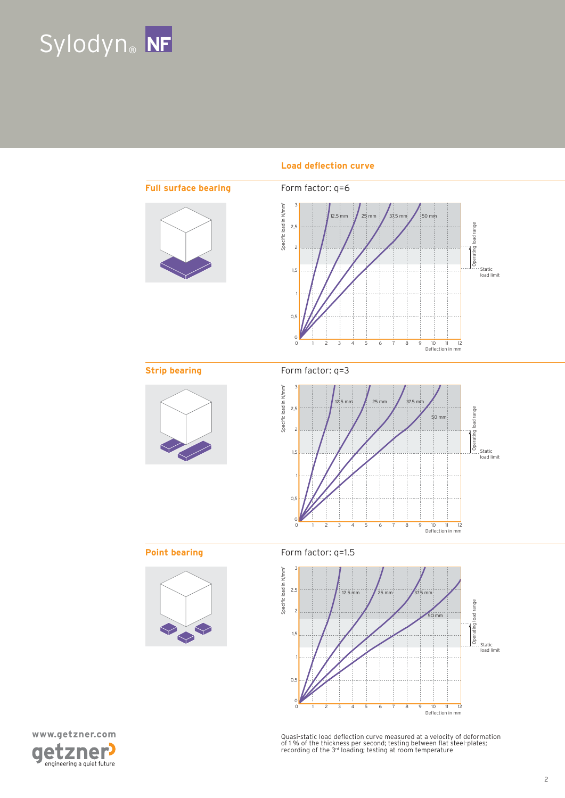



### **Load deflection curve**





Quasi-static load deflection curve measured at a velocity of deformation<br>of 1 % of the thickness per second; testing between flat steel-plates;<br>recording of the 3rª loading; testing at room temperature

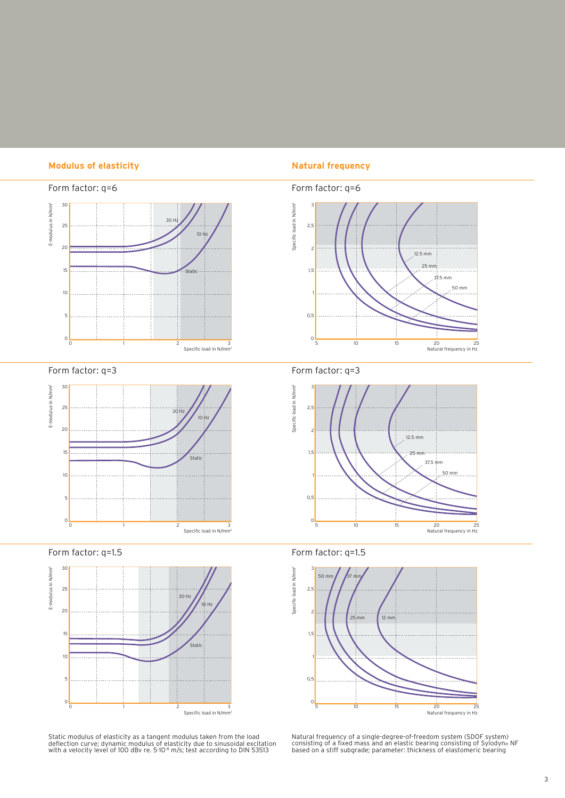### **Modulus of elasticity Natural frequency**



Form factor: q=3



Form factor: q=1.5



Static modulus of elasticity as a tangent modulus taken from the load<br>deflection curve; dynamic modulus of elasticity due to sinusoidal excitation<br>with a velocity level of 100 dBv re. 5·10<sup>.8</sup> m/s; test according to DIN 53







Form factor: q=1.5



Natural frequency of a single-degree-of-freedom system (SDOF system)<br>consisting of a fixed mass and an elastic bearing consisting of Sylodyn® NF<br>based on a stiff subgrade; parameter: thickness of elastomeric bearing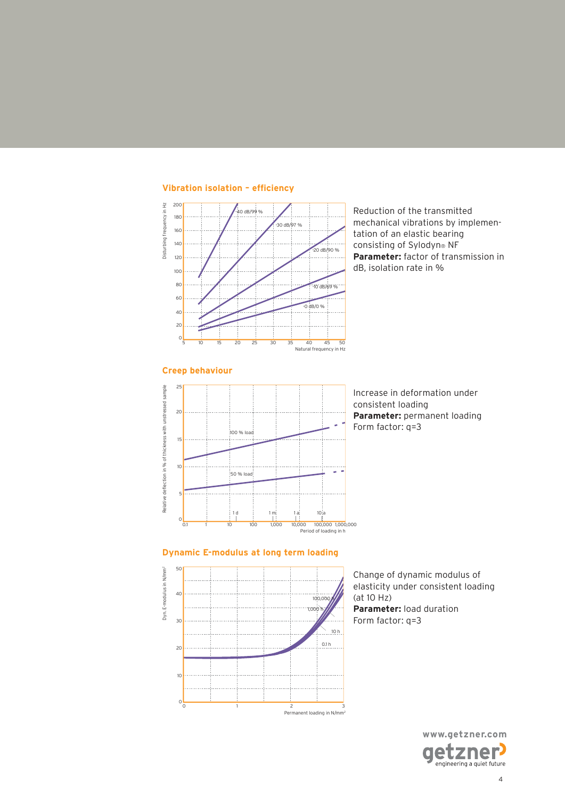

**Vibration isolation - efficiency** 

Reduction of the transmitted mechanical vibrations by implementation of an elastic bearing consisting of Sylodyn® NF **Parameter:** factor of transmission in dB, isolation rate in %



Increase in deformation under consistent loading **Parameter:** permanent loading Form factor: q=3

### **Dynamic E-modulus at long term loading**



Change of dynamic modulus of elasticity under consistent loading (at 10 Hz) **Parameter:** load duration Form factor: q=3

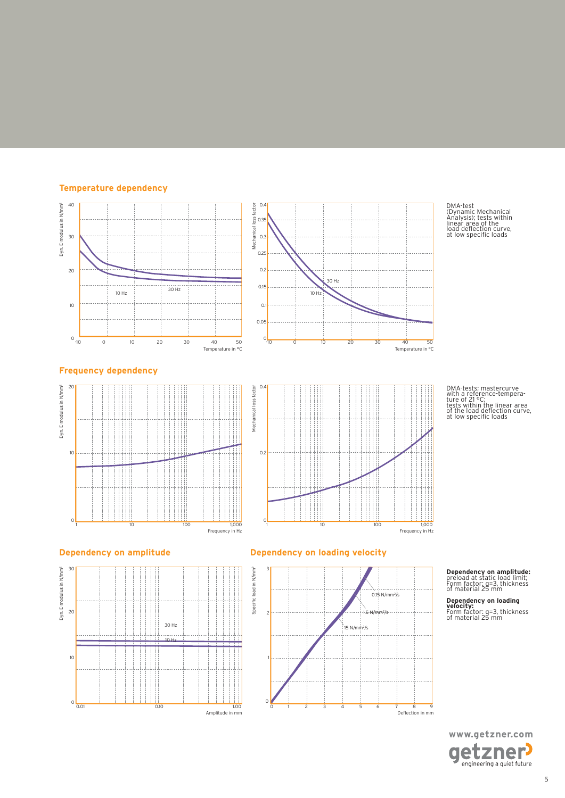



DMA-test (Dynamic Mechanical Analysis); tests within linear area of the load del ection curve, at low specii c loads

DMA-tests; mastercurve with a reference-tempera-ture of 21 °C; tests within the linear area of the load del ection curve, at low specii c loads

 $\overline{50}$ 

### **Frequency dependency**







### **Dependency on amplitude Dependency on loading velocity**



**Dependency on amplitude:** preload at static load limit; Form factor: q=3, thickness of material 25 mm

**Dependency on loading velocity:** Form factor: q=3, thickness of material 25 mm